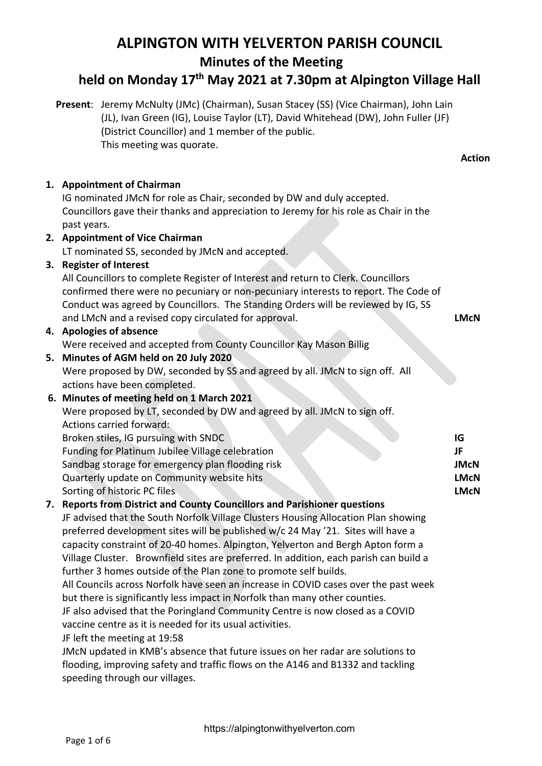#### **Minutes of the Meeting held on Monday 17th May 2021 at 7.30pm at Alpington Village Hall Present**: Jeremy McNulty (JMc) (Chairman), Susan Stacey (SS) (Vice Chairman), John Lain (JL), Ivan Green (IG), Louise Taylor (LT), David Whitehead (DW), John Fuller (JF) (District Councillor) and 1 member of the public. This meeting was quorate. **Action 1. Appointment of Chairman** IG nominated JMcN for role as Chair, seconded by DW and duly accepted. Councillors gave their thanks and appreciation to Jeremy for his role as Chair in the past years. **2. Appointment of Vice Chairman** LT nominated SS, seconded by JMcN and accepted. **3. Register of Interest** All Councillors to complete Register of Interest and return to Clerk. Councillors confirmed there were no pecuniary or non-pecuniary interests to report. The Code of Conduct was agreed by Councillors. The Standing Orders will be reviewed by IG, SS and LMcN and a revised copy circulated for approval. **4. Apologies of absence** Were received and accepted from County Councillor Kay Mason Billig **5. Minutes of AGM held on 20 July 2020** Were proposed by DW, seconded by SS and agreed by all. JMcN to sign off. All actions have been completed. **6. Minutes of meeting held on 1 March 2021** Were proposed by LT, seconded by DW and agreed by all. JMcN to sign off. Actions carried forward: Broken stiles, IG pursuing with SNDC Funding for Platinum Jubilee Village celebration Sandbag storage for emergency plan flooding risk Quarterly update on Community website hits Sorting of historic PC files **7. Reports from District and County Councillors and Parishioner questions**  JF advised that the South Norfolk Village Clusters Housing Allocation Plan showing preferred development sites will be published w/c 24 May '21. Sites will have a capacity constraint of 20-40 homes. Alpington, Yelverton and Bergh Apton form a Village Cluster. Brownfield sites are preferred. In addition, each parish can build a further 3 homes outside of the Plan zone to promote self builds. All Councils across Norfolk have seen an increase in COVID cases over the past week but there is significantly less impact in Norfolk than many other counties. JF also advised that the Poringland Community Centre is now closed as a COVID vaccine centre as it is needed for its usual activities. JF left the meeting at 19:58 JMcN updated in KMB's absence that future issues on her radar are solutions to flooding, improving safety and traffic flows on the A146 and B1332 and tackling speeding through our villages. **LMcN IG JF JMcN LMcN LMcN**

**ALPINGTON WITH YELVERTON PARISH COUNCIL**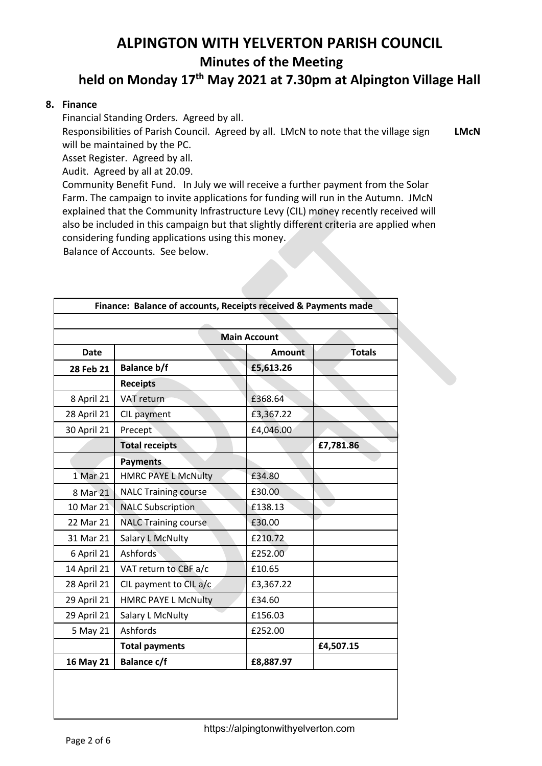## **ALPINGTON WITH YELVERTON PARISH COUNCIL Minutes of the Meeting held on Monday 17th May 2021 at 7.30pm at Alpington Village Hall**

#### **8. Finance**

Financial Standing Orders. Agreed by all.

Responsibilities of Parish Council. Agreed by all. LMcN to note that the village sign will be maintained by the PC. **LMcN**

Asset Register. Agreed by all.

Audit. Agreed by all at 20.09.

Community Benefit Fund. In July we will receive a further payment from the Solar Farm. The campaign to invite applications for funding will run in the Autumn. JMcN explained that the Community Infrastructure Levy (CIL) money recently received will also be included in this campaign but that slightly different criteria are applied when considering funding applications using this money.

**Balance of Accounts. See below.** 

| Finance: Balance of accounts, Receipts received & Payments made |                             |               |               |  |  |  |
|-----------------------------------------------------------------|-----------------------------|---------------|---------------|--|--|--|
|                                                                 |                             |               |               |  |  |  |
| <b>Main Account</b>                                             |                             |               |               |  |  |  |
| <b>Date</b>                                                     |                             | <b>Amount</b> | <b>Totals</b> |  |  |  |
| 28 Feb 21                                                       | <b>Balance b/f</b>          | £5,613.26     |               |  |  |  |
|                                                                 | <b>Receipts</b>             |               |               |  |  |  |
| 8 April 21                                                      | VAT return                  | £368.64       |               |  |  |  |
| 28 April 21                                                     | CIL payment                 | £3,367.22     |               |  |  |  |
| 30 April 21                                                     | Precept                     | £4,046.00     |               |  |  |  |
|                                                                 | <b>Total receipts</b>       |               | £7,781.86     |  |  |  |
|                                                                 | <b>Payments</b>             |               |               |  |  |  |
| 1 Mar 21                                                        | <b>HMRC PAYE L McNulty</b>  | £34.80        |               |  |  |  |
| 8 Mar 21                                                        | <b>NALC Training course</b> | £30.00        |               |  |  |  |
| 10 Mar 21                                                       | <b>NALC Subscription</b>    | £138.13       |               |  |  |  |
| 22 Mar 21                                                       | <b>NALC Training course</b> | £30.00        |               |  |  |  |
| 31 Mar 21                                                       | <b>Salary L McNulty</b>     | £210.72       |               |  |  |  |
| 6 April 21                                                      | Ashfords                    | £252.00       |               |  |  |  |
| 14 April 21                                                     | VAT return to CBF a/c       | £10.65        |               |  |  |  |
| 28 April 21                                                     | CIL payment to CIL a/c      | £3,367.22     |               |  |  |  |
| 29 April 21                                                     | <b>HMRC PAYE L McNulty</b>  | £34.60        |               |  |  |  |
| 29 April 21                                                     | Salary L McNulty            | £156.03       |               |  |  |  |
| 5 May 21                                                        | Ashfords                    | £252.00       |               |  |  |  |
|                                                                 | <b>Total payments</b>       |               | £4,507.15     |  |  |  |
| 16 May 21                                                       | <b>Balance c/f</b>          | £8,887.97     |               |  |  |  |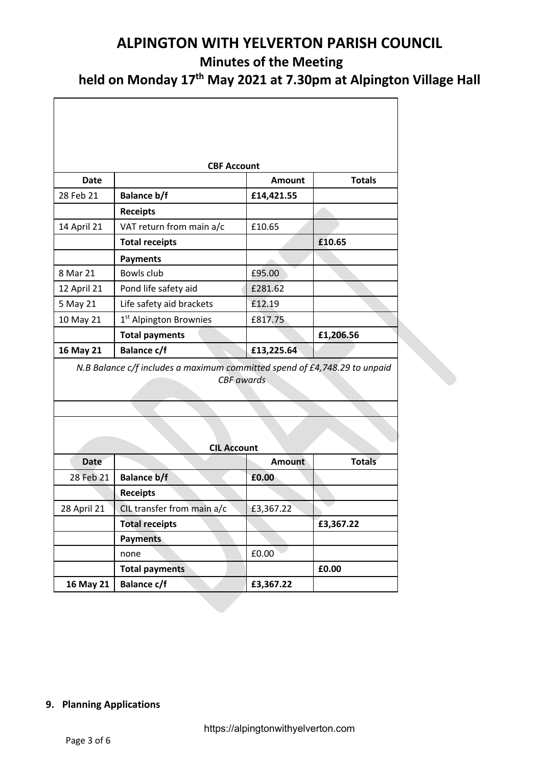**held on Monday 17th May 2021 at 7.30pm at Alpington Village Hall**

٦

| <b>CBF Account</b> |                                                                           |                   |               |  |  |  |
|--------------------|---------------------------------------------------------------------------|-------------------|---------------|--|--|--|
| <b>Date</b>        |                                                                           | <b>Amount</b>     | <b>Totals</b> |  |  |  |
| 28 Feb 21          | <b>Balance b/f</b>                                                        | £14,421.55        |               |  |  |  |
|                    | <b>Receipts</b>                                                           |                   |               |  |  |  |
| 14 April 21        | VAT return from main a/c                                                  | £10.65            |               |  |  |  |
|                    | <b>Total receipts</b>                                                     |                   | £10.65        |  |  |  |
|                    | <b>Payments</b>                                                           |                   |               |  |  |  |
| 8 Mar 21           | Bowls club                                                                | £95.00            |               |  |  |  |
| 12 April 21        | Pond life safety aid                                                      | £281.62           |               |  |  |  |
| 5 May 21           | Life safety aid brackets                                                  | £12.19            |               |  |  |  |
| 10 May 21          | 1 <sup>st</sup> Alpington Brownies                                        | £817.75           |               |  |  |  |
|                    | <b>Total payments</b>                                                     |                   | £1,206.56     |  |  |  |
| 16 May 21          | <b>Balance c/f</b>                                                        | £13,225.64        |               |  |  |  |
|                    | N.B Balance c/f includes a maximum committed spend of £4,748.29 to unpaid | <b>CBF</b> awards |               |  |  |  |
| <b>CIL Account</b> |                                                                           |                   |               |  |  |  |
| <b>Date</b>        |                                                                           | <b>Amount</b>     | <b>Totals</b> |  |  |  |
| 28 Feb 21          | <b>Balance b/f</b>                                                        | £0.00             |               |  |  |  |
|                    | <b>Receipts</b>                                                           |                   |               |  |  |  |
| 28 April 21        | CIL transfer from main a/c                                                | £3,367.22         |               |  |  |  |
|                    | <b>Total receipts</b>                                                     |                   | £3,367.22     |  |  |  |
|                    | <b>Payments</b>                                                           |                   |               |  |  |  |
|                    | none                                                                      | £0.00             |               |  |  |  |
|                    | <b>Total payments</b>                                                     |                   | £0.00         |  |  |  |
| 16 May 21          | <b>Balance c/f</b>                                                        | £3,367.22         |               |  |  |  |

#### **9. Planning Applications**

 $\mathsf{r}$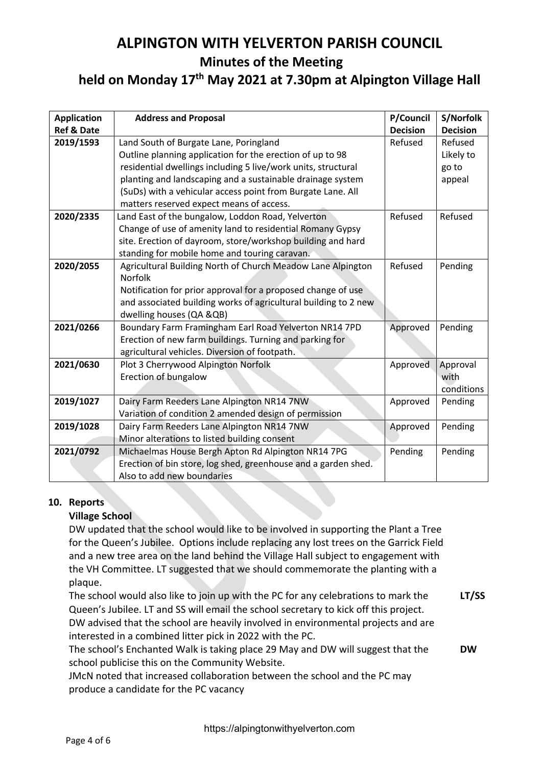### **held on Monday 17th May 2021 at 7.30pm at Alpington Village Hall**

| <b>Application</b>    | <b>Address and Proposal</b>                                     | P/Council       | S/Norfolk       |
|-----------------------|-----------------------------------------------------------------|-----------------|-----------------|
| <b>Ref &amp; Date</b> |                                                                 | <b>Decision</b> | <b>Decision</b> |
| 2019/1593             | Land South of Burgate Lane, Poringland                          | Refused         | Refused         |
|                       | Outline planning application for the erection of up to 98       |                 | Likely to       |
|                       | residential dwellings including 5 live/work units, structural   |                 | go to           |
|                       | planting and landscaping and a sustainable drainage system      |                 | appeal          |
|                       | (SuDs) with a vehicular access point from Burgate Lane. All     |                 |                 |
|                       | matters reserved expect means of access.                        |                 |                 |
| 2020/2335             | Land East of the bungalow, Loddon Road, Yelverton               | Refused         | Refused         |
|                       | Change of use of amenity land to residential Romany Gypsy       |                 |                 |
|                       | site. Erection of dayroom, store/workshop building and hard     |                 |                 |
|                       | standing for mobile home and touring caravan.                   |                 |                 |
| 2020/2055             | Agricultural Building North of Church Meadow Lane Alpington     | Refused         | Pending         |
|                       | <b>Norfolk</b>                                                  |                 |                 |
|                       | Notification for prior approval for a proposed change of use    |                 |                 |
|                       | and associated building works of agricultural building to 2 new |                 |                 |
|                       | dwelling houses (QA & QB)                                       |                 |                 |
| 2021/0266             | Boundary Farm Framingham Earl Road Yelverton NR14 7PD           | Approved        | Pending         |
|                       | Erection of new farm buildings. Turning and parking for         |                 |                 |
|                       | agricultural vehicles. Diversion of footpath.                   |                 |                 |
| 2021/0630             | Plot 3 Cherrywood Alpington Norfolk                             | Approved        | Approval        |
|                       | Erection of bungalow                                            |                 | with            |
|                       |                                                                 |                 | conditions      |
| 2019/1027             | Dairy Farm Reeders Lane Alpington NR14 7NW                      | Approved        | Pending         |
|                       | Variation of condition 2 amended design of permission           |                 |                 |
| 2019/1028             | Dairy Farm Reeders Lane Alpington NR14 7NW                      | Approved        | Pending         |
|                       | Minor alterations to listed building consent                    |                 |                 |
| 2021/0792             | Michaelmas House Bergh Apton Rd Alpington NR14 7PG              | Pending         | Pending         |
|                       | Erection of bin store, log shed, greenhouse and a garden shed.  |                 |                 |
|                       | Also to add new boundaries                                      |                 |                 |

#### **10. Reports**

#### **Village School**

DW updated that the school would like to be involved in supporting the Plant a Tree for the Queen's Jubilee. Options include replacing any lost trees on the Garrick Field and a new tree area on the land behind the Village Hall subject to engagement with the VH Committee. LT suggested that we should commemorate the planting with a plaque.

The school would also like to join up with the PC for any celebrations to mark the Queen's Jubilee. LT and SS will email the school secretary to kick off this project. DW advised that the school are heavily involved in environmental projects and are interested in a combined litter pick in 2022 with the PC. **LT/SS**

The school's Enchanted Walk is taking place 29 May and DW will suggest that the school publicise this on the Community Website. **DW**

JMcN noted that increased collaboration between the school and the PC may produce a candidate for the PC vacancy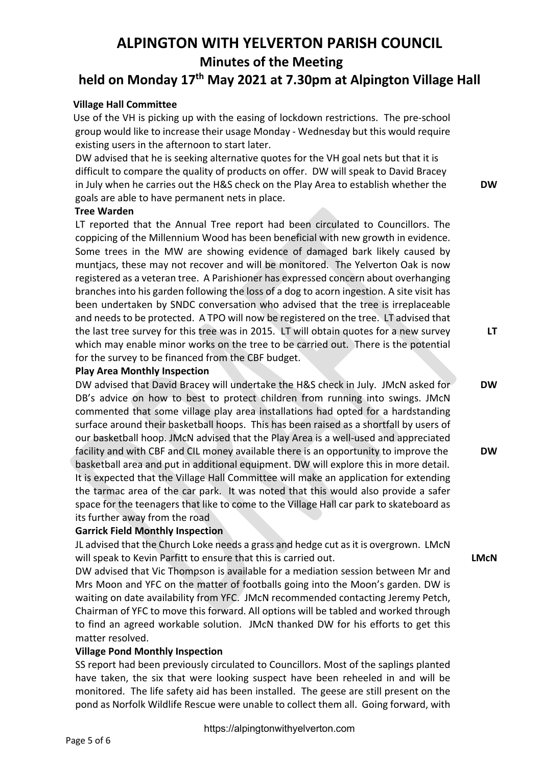### **held on Monday 17th May 2021 at 7.30pm at Alpington Village Hall**

#### **Village Hall Committee**

 Use of the VH is picking up with the easing of lockdown restrictions. The pre-school group would like to increase their usage Monday - Wednesday but this would require existing users in the afternoon to start later.

DW advised that he is seeking alternative quotes for the VH goal nets but that it is difficult to compare the quality of products on offer. DW will speak to David Bracey in July when he carries out the H&S check on the Play Area to establish whether the goals are able to have permanent nets in place.

#### **Tree Warden**

LT reported that the Annual Tree report had been circulated to Councillors. The coppicing of the Millennium Wood has been beneficial with new growth in evidence. Some trees in the MW are showing evidence of damaged bark likely caused by muntjacs, these may not recover and will be monitored. The Yelverton Oak is now registered as a veteran tree. A Parishioner has expressed concern about overhanging branches into his garden following the loss of a dog to acorn ingestion. A site visit has been undertaken by SNDC conversation who advised that the tree is irreplaceable and needs to be protected. A TPO will now be registered on the tree. LT advised that the last tree survey for this tree was in 2015. LT will obtain quotes for a new survey which may enable minor works on the tree to be carried out. There is the potential for the survey to be financed from the CBF budget.

#### **Play Area Monthly Inspection**

DW advised that David Bracey will undertake the H&S check in July. JMcN asked for DB's advice on how to best to protect children from running into swings. JMcN commented that some village play area installations had opted for a hardstanding surface around their basketball hoops. This has been raised as a shortfall by users of our basketball hoop. JMcN advised that the Play Area is a well-used and appreciated facility and with CBF and CIL money available there is an opportunity to improve the basketball area and put in additional equipment. DW will explore this in more detail. It is expected that the Village Hall Committee will make an application for extending the tarmac area of the car park. It was noted that this would also provide a safer space for the teenagers that like to come to the Village Hall car park to skateboard as its further away from the road

#### **Garrick Field Monthly Inspection**

JL advised that the Church Loke needs a grass and hedge cut as it is overgrown. LMcN will speak to Kevin Parfitt to ensure that this is carried out.

DW advised that Vic Thompson is available for a mediation session between Mr and Mrs Moon and YFC on the matter of footballs going into the Moon's garden. DW is waiting on date availability from YFC. JMcN recommended contacting Jeremy Petch, Chairman of YFC to move this forward. All options will be tabled and worked through to find an agreed workable solution. JMcN thanked DW for his efforts to get this matter resolved.

#### **Village Pond Monthly Inspection**

SS report had been previously circulated to Councillors. Most of the saplings planted have taken, the six that were looking suspect have been reheeled in and will be monitored. The life safety aid has been installed. The geese are still present on the pond as Norfolk Wildlife Rescue were unable to collect them all. Going forward, with

**DW**

**LT**

**DW**

**DW**

**LMcN**